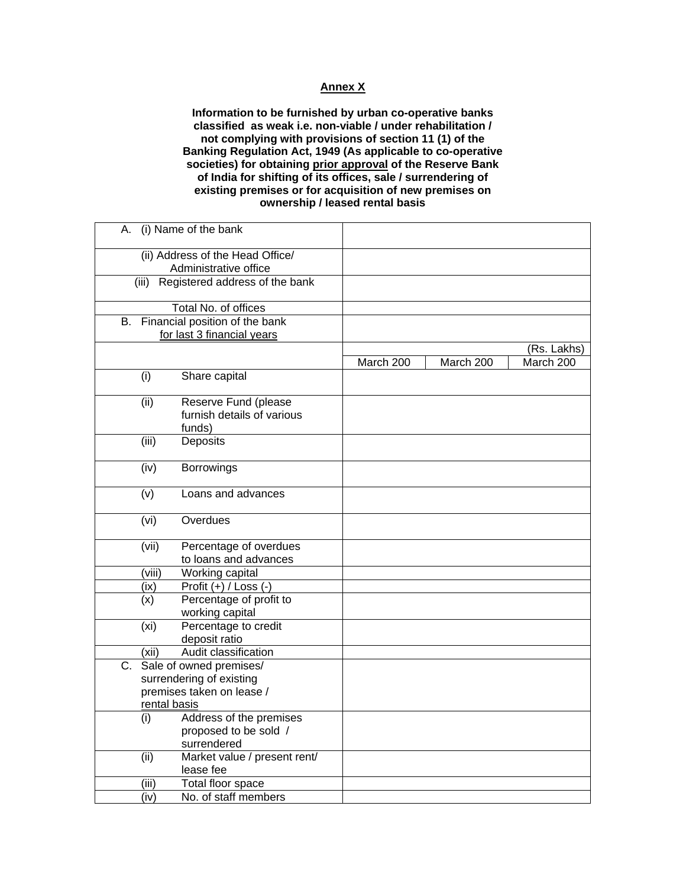## **Annex X**

**Information to be furnished by urban co-operative banks classified as weak i.e. non-viable / under rehabilitation / not complying with provisions of section 11 (1) of the Banking Regulation Act, 1949 (As applicable to co-operative societies) for obtaining prior approval of the Reserve Bank of India for shifting of its offices, sale / surrendering of existing premises or for acquisition of new premises on ownership / leased rental basis** 

| (i) Name of the bank<br>А.                                 |           |           |             |
|------------------------------------------------------------|-----------|-----------|-------------|
| (ii) Address of the Head Office/                           |           |           |             |
| Administrative office                                      |           |           |             |
| (iii) Registered address of the bank                       |           |           |             |
|                                                            |           |           |             |
| Total No. of offices                                       |           |           |             |
| Financial position of the bank<br>В.                       |           |           |             |
| for last 3 financial years                                 |           |           |             |
|                                                            |           |           | (Rs. Lakhs) |
|                                                            | March 200 | March 200 | March 200   |
| (i)<br>Share capital                                       |           |           |             |
| (ii)<br>Reserve Fund (please                               |           |           |             |
| furnish details of various                                 |           |           |             |
| funds)                                                     |           |           |             |
| (iii)<br>Deposits                                          |           |           |             |
|                                                            |           |           |             |
| (iv)<br>Borrowings                                         |           |           |             |
|                                                            |           |           |             |
| Loans and advances<br>(v)                                  |           |           |             |
| Overdues<br>(vi)                                           |           |           |             |
|                                                            |           |           |             |
| (vii)<br>Percentage of overdues                            |           |           |             |
| to loans and advances                                      |           |           |             |
| Working capital<br>(viii)                                  |           |           |             |
| $\overline{Profit (+)} / Loss (-)$<br>(ix)                 |           |           |             |
| Percentage of profit to<br>(x)                             |           |           |             |
| working capital                                            |           |           |             |
| Percentage to credit<br>(x <sub>i</sub> )<br>deposit ratio |           |           |             |
| Audit classification<br>(xii)                              |           |           |             |
| Sale of owned premises/<br>C.                              |           |           |             |
| surrendering of existing                                   |           |           |             |
| premises taken on lease /                                  |           |           |             |
| rental basis                                               |           |           |             |
| Address of the premises<br>(i)                             |           |           |             |
| proposed to be sold /                                      |           |           |             |
| surrendered                                                |           |           |             |
| (ii)<br>Market value / present rent/                       |           |           |             |
| lease fee                                                  |           |           |             |
| Total floor space<br>(iii)                                 |           |           |             |
| (iv)<br>No. of staff members                               |           |           |             |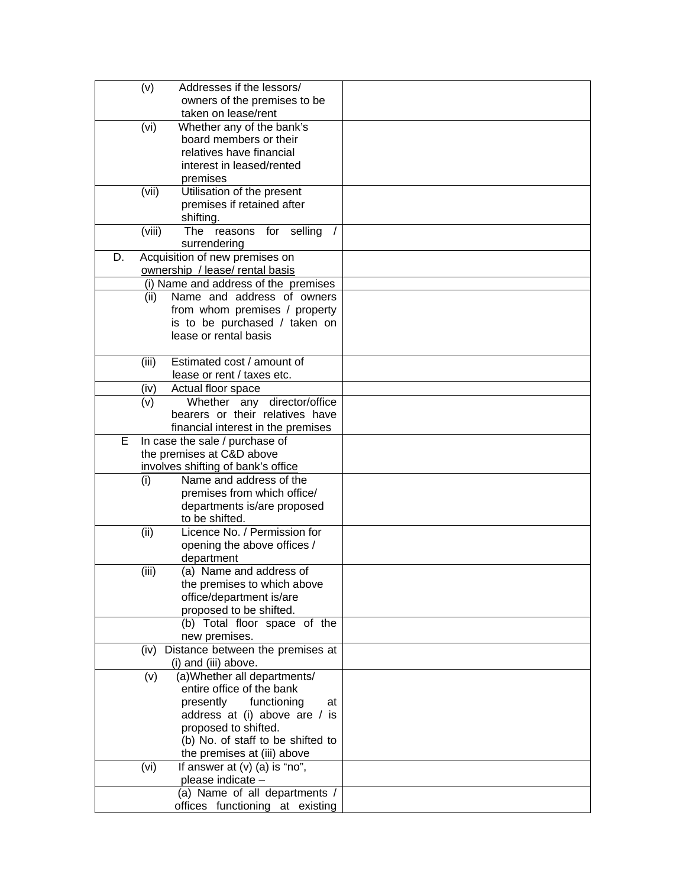| Addresses if the lessors/<br>(v)                        |  |
|---------------------------------------------------------|--|
| owners of the premises to be                            |  |
| taken on lease/rent                                     |  |
| Whether any of the bank's<br>(vi)                       |  |
| board members or their                                  |  |
| relatives have financial                                |  |
| interest in leased/rented                               |  |
| premises                                                |  |
| Utilisation of the present<br>(vii)                     |  |
| premises if retained after                              |  |
| shifting.                                               |  |
| (viii)<br><b>The</b><br>reasons for selling<br>$\prime$ |  |
| surrendering                                            |  |
| Acquisition of new premises on<br>D.                    |  |
| ownership / lease/ rental basis                         |  |
| (i) Name and address of the premises                    |  |
|                                                         |  |
| Name and address of owners<br>(ii)                      |  |
| from whom premises / property                           |  |
| is to be purchased / taken on                           |  |
| lease or rental basis                                   |  |
|                                                         |  |
| Estimated cost / amount of<br>(iii)                     |  |
| lease or rent / taxes etc.                              |  |
| Actual floor space<br>(iv)                              |  |
| Whether any director/office<br>(v)                      |  |
| bearers or their relatives have                         |  |
| financial interest in the premises                      |  |
| In case the sale / purchase of<br>Е                     |  |
| the premises at C&D above                               |  |
| involves shifting of bank's office                      |  |
| Name and address of the<br>(i)                          |  |
| premises from which office/                             |  |
| departments is/are proposed                             |  |
| to be shifted.                                          |  |
| Licence No. / Permission for<br>(ii)                    |  |
| opening the above offices /                             |  |
| department                                              |  |
| (iii)<br>(a) Name and address of                        |  |
| the premises to which above                             |  |
| office/department is/are                                |  |
| proposed to be shifted.                                 |  |
| (b) Total floor space of the                            |  |
| new premises.                                           |  |
| Distance between the premises at<br>(iv)                |  |
| (i) and (iii) above.                                    |  |
| (a) Whether all departments/<br>(v)                     |  |
| entire office of the bank                               |  |
| presently<br>functioning<br>at                          |  |
| address at (i) above are / is                           |  |
| proposed to shifted.                                    |  |
| (b) No. of staff to be shifted to                       |  |
| the premises at (iii) above                             |  |
| If answer at $(v)$ (a) is "no",<br>(vi)                 |  |
| please indicate -                                       |  |
| (a) Name of all departments /                           |  |
| offices functioning at existing                         |  |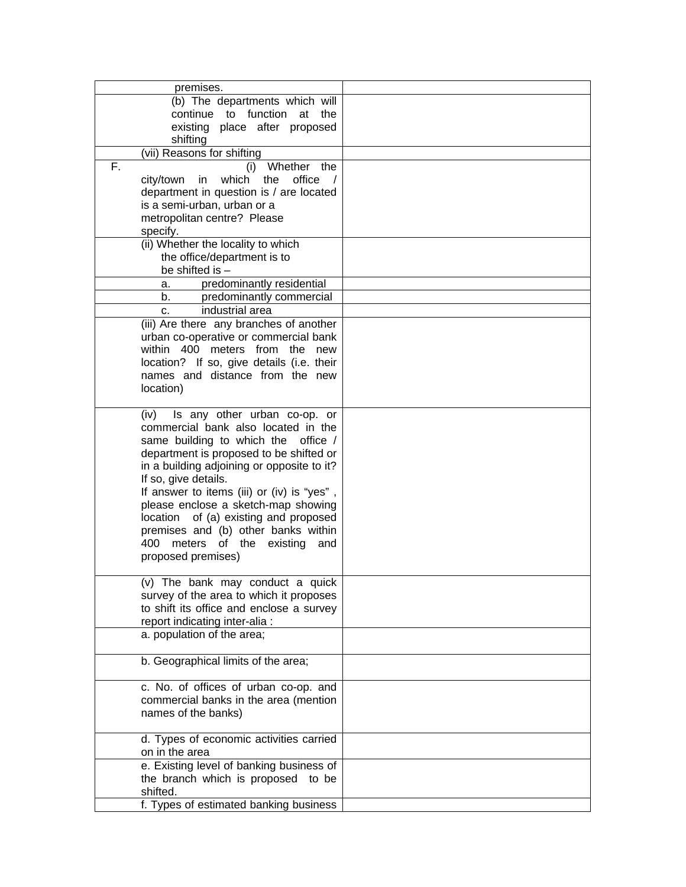| premises.                                            |  |
|------------------------------------------------------|--|
| (b) The departments which will                       |  |
| continue to function<br>at the                       |  |
| existing place after proposed                        |  |
|                                                      |  |
| shifting                                             |  |
| (vii) Reasons for shifting                           |  |
| F.<br>Whether<br>(i)<br>the                          |  |
| which<br>the<br>office<br>city/town in<br>$\sqrt{ }$ |  |
| department in question is / are located              |  |
| is a semi-urban, urban or a                          |  |
|                                                      |  |
| metropolitan centre? Please                          |  |
| specify.                                             |  |
| (ii) Whether the locality to which                   |  |
| the office/department is to                          |  |
| be shifted is -                                      |  |
|                                                      |  |
| predominantly residential<br>а.                      |  |
| predominantly commercial<br>b. i                     |  |
| industrial area<br>C.                                |  |
| (iii) Are there any branches of another              |  |
| urban co-operative or commercial bank                |  |
| within 400 meters from the                           |  |
| new                                                  |  |
| location? If so, give details (i.e. their            |  |
| names and distance from the new                      |  |
| location)                                            |  |
|                                                      |  |
| Is any other urban co-op. or<br>(iv)                 |  |
|                                                      |  |
| commercial bank also located in the                  |  |
| same building to which the<br>office $/$             |  |
| department is proposed to be shifted or              |  |
| in a building adjoining or opposite to it?           |  |
| If so, give details.                                 |  |
| If answer to items (iii) or (iv) is "yes",           |  |
|                                                      |  |
| please enclose a sketch-map showing                  |  |
| of (a) existing and proposed<br>location             |  |
| premises and (b) other banks within                  |  |
| 400<br>meters of the<br>existing<br>and              |  |
| proposed premises)                                   |  |
|                                                      |  |
|                                                      |  |
| (v) The bank may conduct a quick                     |  |
| survey of the area to which it proposes              |  |
| to shift its office and enclose a survey             |  |
| report indicating inter-alia :                       |  |
| a. population of the area;                           |  |
|                                                      |  |
| b. Geographical limits of the area;                  |  |
|                                                      |  |
| c. No. of offices of urban co-op. and                |  |
| commercial banks in the area (mention                |  |
| names of the banks)                                  |  |
|                                                      |  |
|                                                      |  |
| d. Types of economic activities carried              |  |
| on in the area                                       |  |
| e. Existing level of banking business of             |  |
| the branch which is proposed to be                   |  |
| shifted.                                             |  |
| f. Types of estimated banking business               |  |